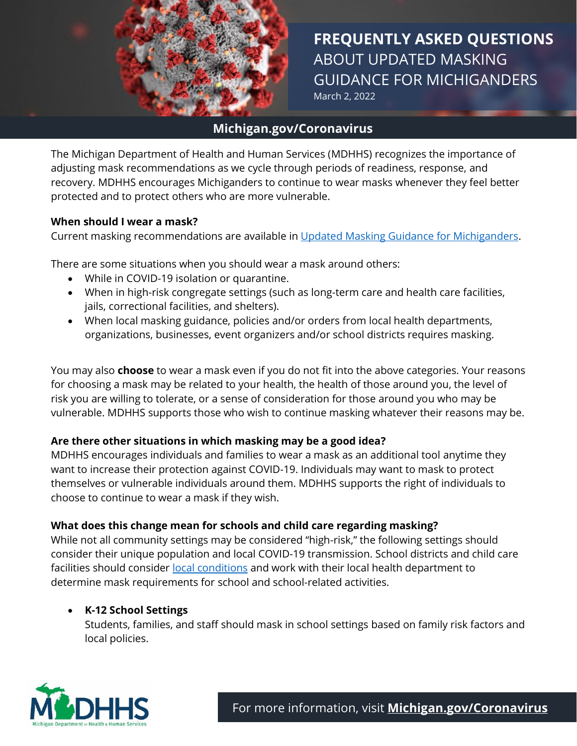

1 **FREQUENTLY ASKED QUESTIONS** ABOUT UPDATED MASKING GUIDANCE FOR MICHIGANDERS March 2, 2022

## **Michigan.gov/Coronavirus**

The Michigan Department of Health and Human Services (MDHHS) recognizes the importance of adjusting mask recommendations as we cycle through periods of readiness, response, and recovery. MDHHS encourages Michiganders to continue to wear masks whenever they feel better protected and to protect others who are more vulnerable.

#### **When should I wear a mask?**

Current masking recommendations are available in [Updated Masking Guidance for Michiganders.](https://www.michigan.gov/documents/coronavirus/FINAL_MDHHS_Masking_Guidance_2.16.22_748315_7.pdf?utm_campaign=&utm_medium=email&utm_source=govdelivery)

There are some situations when you should wear a mask around others:

- While in COVID-19 isolation or quarantine.
- When in high-risk congregate settings (such as long-term care and health care facilities, jails, correctional facilities, and shelters).
- When local masking guidance, policies and/or orders from local health departments, organizations, businesses, event organizers and/or school districts requires masking.

You may also **choose** to wear a mask even if you do not fit into the above categories. Your reasons for choosing a mask may be related to your health, the health of those around you, the level of risk you are willing to tolerate, or a sense of consideration for those around you who may be vulnerable. MDHHS supports those who wish to continue masking whatever their reasons may be.

## **Are there other situations in which masking may be a good idea?**

MDHHS encourages individuals and families to wear a mask as an additional tool anytime they want to increase their protection against COVID-19. Individuals may want to mask to protect themselves or vulnerable individuals around them. MDHHS supports the right of individuals to choose to continue to wear a mask if they wish.

## **What does this change mean for schools and child care regarding masking?**

While not all community settings may be considered "high-risk," the following settings should consider their unique population and local COVID-19 transmission. School districts and child care facilities should consider [local conditions](https://www.cdc.gov/coronavirus/2019-ncov/science/community-levels.html) and work with their local health department to determine mask requirements for school and school-related activities.

## • **K-12 School Settings**

Students, families, and staff should mask in school settings based on family risk factors and local policies.

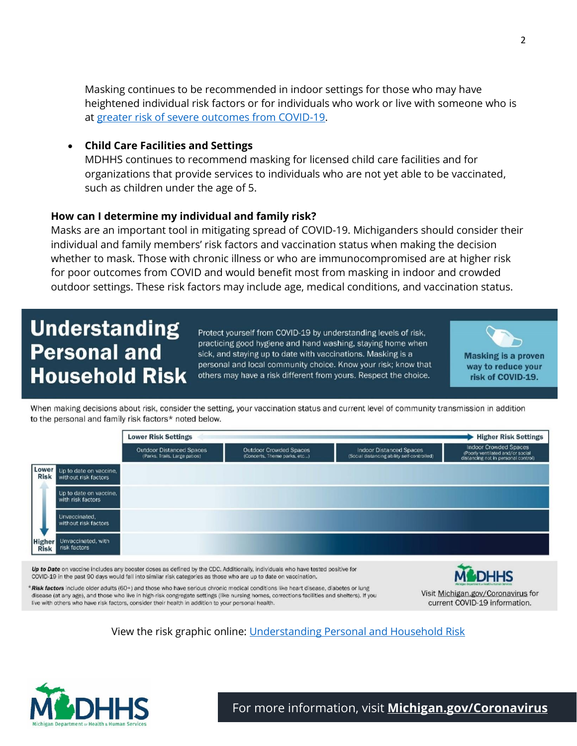Masking continues to be recommended in indoor settings for those who may have heightened individual risk factors or for individuals who work or live with someone who is at [greater risk of severe outcomes from COVID-19.](https://www.cdc.gov/coronavirus/2019-ncov/need-extra-precautions/people-with-medical-conditions.html)

#### • **Child Care Facilities and Settings**

MDHHS continues to recommend masking for licensed child care facilities and for organizations that provide services to individuals who are not yet able to be vaccinated, such as children under the age of 5.

#### **How can I determine my individual and family risk?**

Masks are an important tool in mitigating spread of COVID-19. Michiganders should consider their individual and family members' risk factors and vaccination status when making the decision whether to mask. Those with chronic illness or who are immunocompromised are at higher risk for poor outcomes from COVID and would benefit most from masking in indoor and crowded outdoor settings. These risk factors may include age, medical conditions, and vaccination status.

# **Understanding Personal and Household Risk**

Protect yourself from COVID-19 by understanding levels of risk, practicing good hygiene and hand washing, staying home when sick, and staying up to date with vaccinations. Masking is a personal and local community choice. Know your risk; know that others may have a risk different from yours. Respect the choice.



When making decisions about risk, consider the setting, your vaccination status and current level of community transmission in addition to the personal and family risk factors\* noted below.



Up to Date on vaccine includes any booster doses as defined by the CDC. Additionally, individuals who have tested positive for COVID-19 in the past 90 days would fall into similar risk categories as those who are up to date on vaccination.



\*Risk factors include older adults (60+) and those who have serious chronic medical conditions like heart disease, diabetes or lung disease (at any age), and those who live in high-risk congregate settings (like nursing homes, corrections facilities and shelters). If you live with others who have risk factors, consider their health in addition to your personal health.

Visit Michigan.gov/Coronavirus for current COVID-19 information.

View the risk graphic online: [Understanding Personal and Household Risk](https://www.michigan.gov/documents/coronavirus/Understanding_Risk_v9_748388_7.pdf)



For more information, visit **[Michigan.gov/Coronavirus](http://www.michigan.gov/coronavirus)**